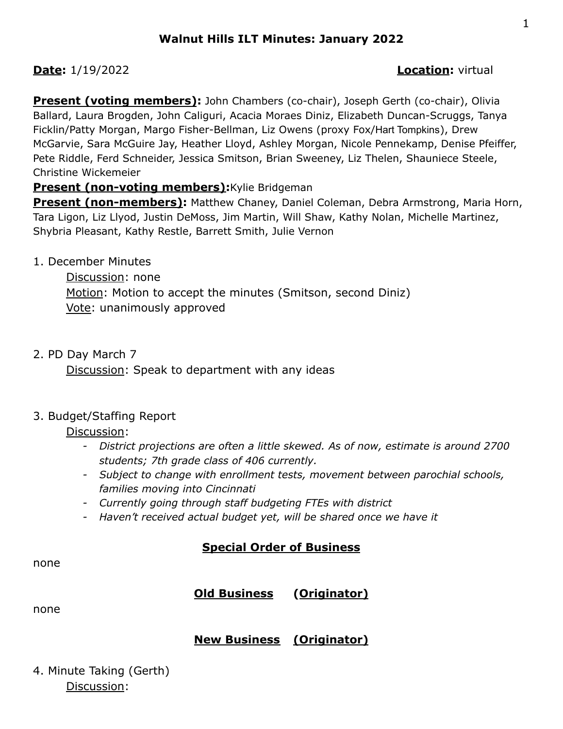## **Date:** 1/19/2022 **Location:** virtual

**Present (voting members):** John Chambers (co-chair), Joseph Gerth (co-chair), Olivia Ballard, Laura Brogden, John Caliguri, Acacia Moraes Diniz, Elizabeth Duncan-Scruggs, Tanya Ficklin/Patty Morgan, Margo Fisher-Bellman, Liz Owens (proxy Fox/Hart Tompkins), Drew McGarvie, Sara McGuire Jay, Heather Lloyd, Ashley Morgan, Nicole Pennekamp, Denise Pfeiffer, Pete Riddle, Ferd Schneider, Jessica Smitson, Brian Sweeney, Liz Thelen, Shauniece Steele, Christine Wickemeier

## **Present (non-voting members): Kylie Bridgeman**

**Present (non-members):** Matthew Chaney, Daniel Coleman, Debra Armstrong, Maria Horn, Tara Ligon, Liz Llyod, Justin DeMoss, Jim Martin, Will Shaw, Kathy Nolan, Michelle Martinez, Shybria Pleasant, Kathy Restle, Barrett Smith, Julie Vernon

1. December Minutes

Discussion: none Motion: Motion to accept the minutes (Smitson, second Diniz) Vote: unanimously approved

#### 2. PD Day March 7

Discussion: Speak to department with any ideas

#### 3. Budget/Staffing Report

Discussion:

- *- District projections are often a little skewed. As of now, estimate is around 2700 students; 7th grade class of 406 currently.*
- *- Subject to change with enrollment tests, movement between parochial schools, families moving into Cincinnati*
- *- Currently going through staff budgeting FTEs with district*
- *- Haven't received actual budget yet, will be shared once we have it*

# **Special Order of Business**

none

# **Old Business (Originator)**

none

# **New Business (Originator)**

4. Minute Taking (Gerth) Discussion: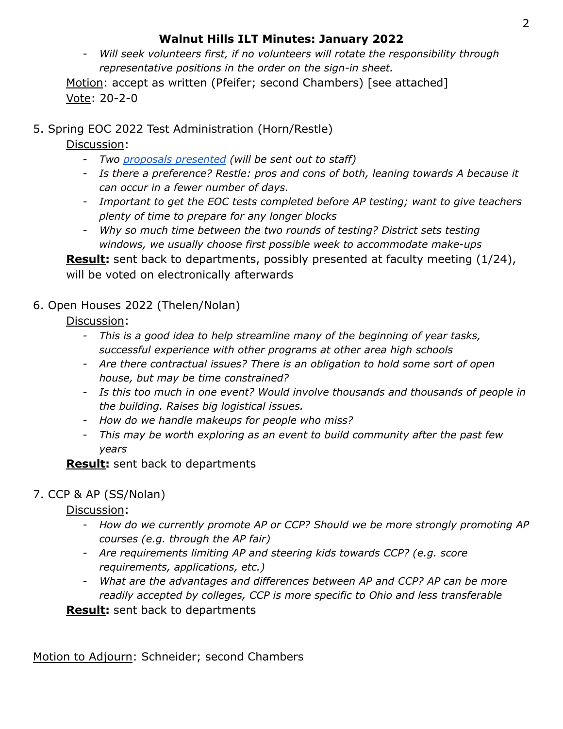# **Walnut Hills ILT Minutes: January 2022**

*- Will seek volunteers first, if no volunteers will rotate the responsibility through representative positions in the order on the sign-in sheet.*

Motion: accept as written (Pfeifer; second Chambers) [see attached] Vote: 20-2-0

5. Spring EOC 2022 Test Administration (Horn/Restle)

Discussion:

- *- Two proposals [presented](https://docs.google.com/document/d/1gs7wLXwJnlJ86hLBq_U7d_pF0dbKsU5y8MW0dndF9PM/edit) (will be sent out to staff)*
- *- Is there a preference? Restle: pros and cons of both, leaning towards A because it can occur in a fewer number of days.*
- *- Important to get the EOC tests completed before AP testing; want to give teachers plenty of time to prepare for any longer blocks*
- *- Why so much time between the two rounds of testing? District sets testing windows, we usually choose first possible week to accommodate make-ups*

**Result:** sent back to departments, possibly presented at faculty meeting (1/24), will be voted on electronically afterwards

6. Open Houses 2022 (Thelen/Nolan)

Discussion:

- *- This is a good idea to help streamline many of the beginning of year tasks, successful experience with other programs at other area high schools*
- *- Are there contractual issues? There is an obligation to hold some sort of open house, but may be time constrained?*
- *- Is this too much in one event? Would involve thousands and thousands of people in the building. Raises big logistical issues.*
- *- How do we handle makeups for people who miss?*
- *- This may be worth exploring as an event to build community after the past few years*

# **Result:** sent back to departments

# 7. CCP & AP (SS/Nolan)

Discussion:

- *- How do we currently promote AP or CCP? Should we be more strongly promoting AP courses (e.g. through the AP fair)*
- *- Are requirements limiting AP and steering kids towards CCP? (e.g. score requirements, applications, etc.)*
- *- What are the advantages and differences between AP and CCP? AP can be more readily accepted by colleges, CCP is more specific to Ohio and less transferable*

**Result:** sent back to departments

Motion to Adjourn: Schneider; second Chambers